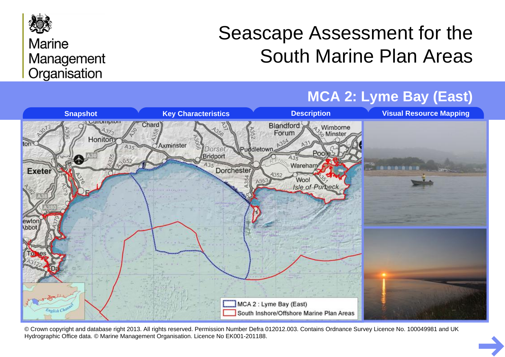

#### **Marine** Management Organisation

# Seascape Assessment for the South Marine Plan Areas



© Crown copyright and database right 2013. All rights reserved. Permission Number Defra 012012.003. Contains Ordnance Survey Licence No. 100049981 and UK Hydrographic Office data. © Marine Management Organisation. Licence No EK001-201188.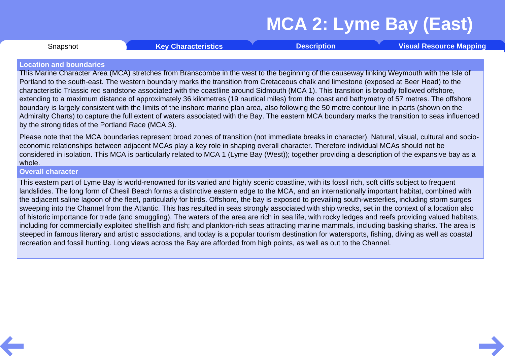Snapshot **Key [Characteristics](#page-3-0) [Description](#page-4-0) Visual [Resource](#page-9-0) Mapping**

#### <span id="page-1-0"></span>**Location and boundaries**

This Marine Character Area (MCA) stretches from Branscombe in the west to the beginning of the causeway linking Weymouth with the Isle of Portland to the south-east. The western boundary marks the transition from Cretaceous chalk and limestone (exposed at Beer Head) to the characteristic Triassic red sandstone associated with the coastline around Sidmouth (MCA 1). This transition is broadly followed offshore, extending to a maximum distance of approximately 36 kilometres (19 nautical miles) from the coast and bathymetry of 57 metres. The offshore boundary is largely consistent with the limits of the inshore marine plan area, also following the 50 metre contour line in parts (shown on the Admiralty Charts) to capture the full extent of waters associated with the Bay. The eastern MCA boundary marks the transition to seas influenced by the strong tides of the Portland Race (MCA 3).

Please note that the MCA boundaries represent broad zones of transition (not immediate breaks in character). Natural, visual, cultural and socio economic relationships between adjacent MCAs play a key role in shaping overall character. Therefore individual MCAs should not be considered in isolation. This MCA is particularly related to MCA 1 (Lyme Bay (West)); together providing a description of the expansive bay as a whole.

#### **Overall character**

This eastern part of Lyme Bay is world-renowned for its varied and highly scenic coastline, with its fossil rich, soft cliffs subject to frequent landslides. The long form of Chesil Beach forms a distinctive eastern edge to the MCA, and an internationally important habitat, combined with the adjacent saline lagoon of the fleet, particularly for birds. Offshore, the bay is exposed to prevailing south-westerlies, including storm surges sweeping into the Channel from the Atlantic. This has resulted in seas strongly associated with ship wrecks, set in the context of a location also of historic importance for trade (and smuggling). The waters of the area are rich in sea life, with rocky ledges and reefs providing valued habitats, including for commercially exploited shellfish and fish; and plankton-rich seas attracting marine mammals, including basking sharks. The area is steeped in famous literary and artistic associations, and today is a popular tourism destination for watersports, fishing, diving as well as coastal recreation and fossil hunting. Long views across the Bay are afforded from high points, as well as out to the Channel.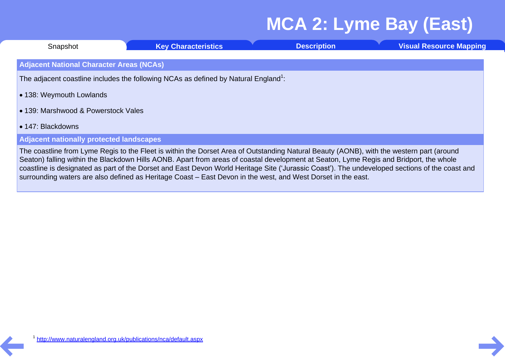| Snapshot                                                                                        | <b>Key Characteristics</b>                                                                                                                                                                                                                                                                                                                                                                                                           | <b>Description</b> | <b>Visual Resource Mapping</b> |  |  |  |  |  |  |
|-------------------------------------------------------------------------------------------------|--------------------------------------------------------------------------------------------------------------------------------------------------------------------------------------------------------------------------------------------------------------------------------------------------------------------------------------------------------------------------------------------------------------------------------------|--------------------|--------------------------------|--|--|--|--|--|--|
| <b>Adjacent National Character Areas (NCAs)</b>                                                 |                                                                                                                                                                                                                                                                                                                                                                                                                                      |                    |                                |  |  |  |  |  |  |
| The adjacent coastline includes the following NCAs as defined by Natural England <sup>1</sup> : |                                                                                                                                                                                                                                                                                                                                                                                                                                      |                    |                                |  |  |  |  |  |  |
| • 138: Weymouth Lowlands                                                                        |                                                                                                                                                                                                                                                                                                                                                                                                                                      |                    |                                |  |  |  |  |  |  |
| • 139: Marshwood & Powerstock Vales                                                             |                                                                                                                                                                                                                                                                                                                                                                                                                                      |                    |                                |  |  |  |  |  |  |
| • 147: Blackdowns                                                                               |                                                                                                                                                                                                                                                                                                                                                                                                                                      |                    |                                |  |  |  |  |  |  |
| <b>Adjacent nationally protected landscapes</b>                                                 |                                                                                                                                                                                                                                                                                                                                                                                                                                      |                    |                                |  |  |  |  |  |  |
|                                                                                                 | The coastline from Lyme Regis to the Fleet is within the Dorset Area of Outstanding Natural Beauty (AONB), with the western part (around<br>Seaton) falling within the Blackdown Hills AONB. Apart from areas of coastal development at Seaton, Lyme Regis and Bridport, the whole<br>coastline is designated as part of the Dorset and East Devon World Heritage Site ('Jurassic Coast'). The undeveloped sections of the coast and |                    |                                |  |  |  |  |  |  |

surrounding waters are also defined as Heritage Coast – East Devon in the west, and West Dorset in the east.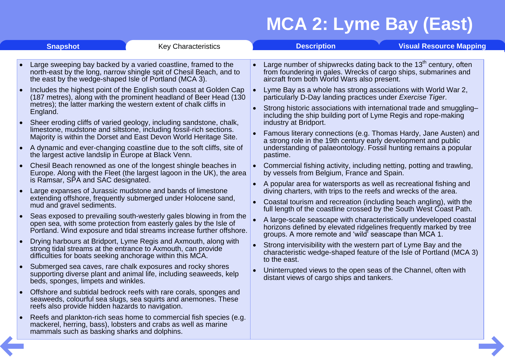<span id="page-3-0"></span>

|           | <b>Snapshot</b><br><b>Key Characteristics</b>                                                                                                                                                                             |           | <b>Description</b>                                                                                                                                                                                                                                                                                                                                                                                                                                                                                                                                                                                                                                                |  | <b>Visual Resource Mapping</b> |  |  |
|-----------|---------------------------------------------------------------------------------------------------------------------------------------------------------------------------------------------------------------------------|-----------|-------------------------------------------------------------------------------------------------------------------------------------------------------------------------------------------------------------------------------------------------------------------------------------------------------------------------------------------------------------------------------------------------------------------------------------------------------------------------------------------------------------------------------------------------------------------------------------------------------------------------------------------------------------------|--|--------------------------------|--|--|
| $\bullet$ | Large sweeping bay backed by a varied coastline, framed to the<br>north-east by the long, narrow shingle spit of Chesil Beach, and to<br>the east by the wedge-shaped Isle of Portland (MCA 3).                           | $\bullet$ | Large number of shipwrecks dating back to the 13 <sup>th</sup> century, often<br>from foundering in gales. Wrecks of cargo ships, submarines and<br>aircraft from both World Wars also present.<br>Lyme Bay as a whole has strong associations with World War 2,<br>particularly D-Day landing practices under Exercise Tiger.<br>Strong historic associations with international trade and smuggling-<br>$\bullet$<br>including the ship building port of Lyme Regis and rope-making<br>industry at Bridport.<br>Famous literary connections (e.g. Thomas Hardy, Jane Austen) and<br>$\bullet$<br>a strong role in the 19th century early development and public |  |                                |  |  |
|           | Includes the highest point of the English south coast at Golden Cap<br>(187 metres), along with the prominent headland of Beer Head (130<br>metres); the latter marking the western extent of chalk cliffs in<br>England. |           |                                                                                                                                                                                                                                                                                                                                                                                                                                                                                                                                                                                                                                                                   |  |                                |  |  |
|           | Sheer eroding cliffs of varied geology, including sandstone, chalk,<br>limestone, mudstone and siltstone, including fossil-rich sections.<br>Majority is within the Dorset and East Devon World Heritage Site.            |           |                                                                                                                                                                                                                                                                                                                                                                                                                                                                                                                                                                                                                                                                   |  |                                |  |  |
|           | A dynamic and ever-changing coastline due to the soft cliffs, site of<br>the largest active landslip in Europe at Black Venn.                                                                                             |           | understanding of palaeontology. Fossil hunting remains a popular<br>pastime.                                                                                                                                                                                                                                                                                                                                                                                                                                                                                                                                                                                      |  |                                |  |  |
| $\bullet$ | Chesil Beach renowned as one of the longest shingle beaches in<br>Europe. Along with the Fleet (the largest lagoon in the UK), the area<br>is Ramsar, SPA and SAC designated.                                             | $\bullet$ | Commercial fishing activity, including netting, potting and trawling,<br>by vessels from Belgium, France and Spain.                                                                                                                                                                                                                                                                                                                                                                                                                                                                                                                                               |  |                                |  |  |
| ∣∙        | $\bullet$<br>Large expanses of Jurassic mudstone and bands of limestone<br>extending offshore, frequently submerged under Holocene sand,<br>$\bullet$<br>mud and gravel sediments.                                        |           | A popular area for watersports as well as recreational fishing and<br>diving charters, with trips to the reefs and wrecks of the area.                                                                                                                                                                                                                                                                                                                                                                                                                                                                                                                            |  |                                |  |  |
|           |                                                                                                                                                                                                                           |           | Coastal tourism and recreation (including beach angling), with the<br>full length of the coastline crossed by the South West Coast Path.                                                                                                                                                                                                                                                                                                                                                                                                                                                                                                                          |  |                                |  |  |
| $\bullet$ | Seas exposed to prevailing south-westerly gales blowing in from the<br>open sea, with some protection from easterly gales by the Isle of<br>Portland. Wind exposure and tidal streams increase further offshore.          |           | A large-scale seascape with characteristically undeveloped coastal<br>horizons defined by elevated ridgelines frequently marked by tree<br>groups. A more remote and 'wild' seascape than MCA 1.                                                                                                                                                                                                                                                                                                                                                                                                                                                                  |  |                                |  |  |
| $\bullet$ | Drying harbours at Bridport, Lyme Regis and Axmouth, along with<br>strong tidal streams at the entrance to Axmouth, can provide<br>difficulties for boats seeking anchorage within this MCA.                              |           | Strong intervisibility with the western part of Lyme Bay and the<br>characteristic wedge-shaped feature of the Isle of Portland (MCA 3)<br>to the east.                                                                                                                                                                                                                                                                                                                                                                                                                                                                                                           |  |                                |  |  |
| $\bullet$ | Submerged sea caves, rare chalk exposures and rocky shores<br>supporting diverse plant and animal life, including seaweeds, kelp<br>beds, sponges, limpets and winkles.                                                   | $\bullet$ | Uninterrupted views to the open seas of the Channel, often with<br>distant views of cargo ships and tankers.                                                                                                                                                                                                                                                                                                                                                                                                                                                                                                                                                      |  |                                |  |  |
|           | Offshore and subtidal bedrock reefs with rare corals, sponges and<br>seaweeds, colourful sea slugs, sea squirts and anemones. These<br>reefs also provide hidden hazards to navigation.                                   |           |                                                                                                                                                                                                                                                                                                                                                                                                                                                                                                                                                                                                                                                                   |  |                                |  |  |
|           | Reefs and plankton-rich seas home to commercial fish species (e.g.<br>mackerel, herring, bass), lobsters and crabs as well as marine<br>mammals such as basking sharks and dolphins.                                      |           |                                                                                                                                                                                                                                                                                                                                                                                                                                                                                                                                                                                                                                                                   |  |                                |  |  |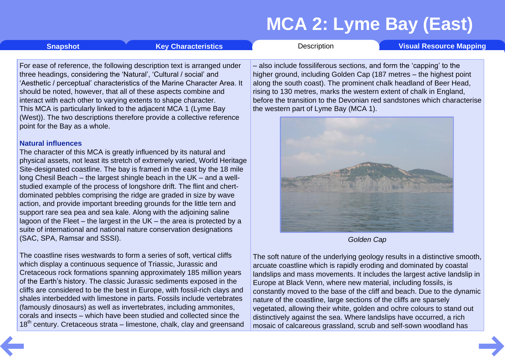<span id="page-4-0"></span>**[Snapshot](#page-1-0) Key [Characteristics](#page-3-0) [Description](#page-4-0) Visual [Resource](#page-9-0) Mapping** 

For ease of reference, the following description text is arranged under three headings, considering the 'Natural', 'Cultural / social' and 'Aesthetic / perceptual' characteristics of the Marine Character Area. It should be noted, however, that all of these aspects combine and interact with each other to varying extents to shape character. This MCA is particularly linked to the adjacent MCA 1 (Lyme Bay (West)). The two descriptions therefore provide a collective reference point for the Bay as a whole.

#### **Natural influences**

The character of this MCA is greatly influenced by its natural and physical assets, not least its stretch of extremely varied, World Heritage Site-designated coastline. The bay is framed in the east by the 18 mile long Chesil Beach – the largest shingle beach in the UK – and a well studied example of the process of longshore drift. The flint and chert dominated pebbles comprising the ridge are graded in size by wave action, and provide important breeding grounds for the little tern and support rare sea pea and sea kale. Along with the adjoining saline lagoon of the Fleet – the largest in the UK – the area is protected by a suite of international and national nature conservation designations (SAC, SPA, Ramsar and SSSI).

The coastline rises westwards to form a series of soft, vertical cliffs which display a continuous sequence of Triassic, Jurassic and Cretaceous rock formations spanning approximately 185 million years of the Earth's history. The classic Jurassic sediments exposed in the cliffs are considered to be the best in Europe, with fossil-rich clays and shales interbedded with limestone in parts. Fossils include vertebrates (famously dinosaurs) as well as invertebrates, including ammonites, corals and insects – which have been studied and collected since the  $18<sup>th</sup>$  century. Cretaceous strata – limestone, chalk, clay and greensand

– also include fossiliferous sections, and form the 'capping' to the higher ground, including Golden Cap (187 metres – the highest point along the south coast). The prominent chalk headland of Beer Head, rising to 130 metres, marks the western extent of chalk in England, before the transition to the Devonian red sandstones which characterise the western part of Lyme Bay (MCA 1).



*Golden Cap*

The soft nature of the underlying geology results in a distinctive smooth, arcuate coastline which is rapidly eroding and dominated by coastal landslips and mass movements. It includes the largest active landslip in Europe at Black Venn, where new material, including fossils, is constantly moved to the base of the cliff and beach. Due to the dynamic nature of the coastline, large sections of the cliffs are sparsely vegetated, allowing their white, golden and ochre colours to stand out distinctively against the sea. Where landslips have occurred, a rich mosaic of calcareous grassland, scrub and self-sown woodland has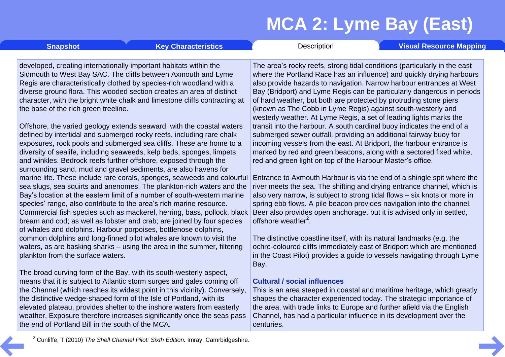**[Snapshot](#page-1-0) Key [Characteristics](#page-3-0) [Description](#page-4-0) Visual [Resource](#page-9-0) Mapping** 

developed, creating internationally important habitats within the Sidmouth to West Bay SAC. The cliffs between Axmouth and Lyme Regis are characteristically clothed by species-rich woodland with a diverse ground flora. This wooded section creates an area of distinct character, with the bright white chalk and limestone cliffs contracting at the base of the rich green treeline.

Offshore, the varied geology extends seaward, with the coastal waters defined by intertidal and submerged rocky reefs, including rare chalk exposures, rock pools and submerged sea cliffs. These are home to a diversity of sealife, including seaweeds, kelp beds, sponges, limpets and winkles. Bedrock reefs further offshore, exposed through the surrounding sand, mud and gravel sediments, are also havens for marine life. These include rare corals, sponges, seaweeds and colourful sea slugs, sea squirts and anenomes. The plankton-rich waters and the Bay's location at the eastern limit of a number of south-western marine species' range, also contribute to the area's rich marine resource. Commercial fish species such as mackerel, herring, bass, pollock, black bream and cod; as well as lobster and crab; are joined by four species of whales and dolphins. Harbour porpoises, bottlenose dolphins, common dolphins and long-finned pilot whales are known to visit the waters, as are basking sharks – using the area in the summer, filtering plankton from the surface waters.

The broad curving form of the Bay, with its south-westerly aspect, means that it is subject to Atlantic storm surges and gales coming off the Channel (which reaches its widest point in this vicinity). Conversely, the distinctive wedge-shaped form of the Isle of Portland, with its elevated plateau, provides shelter to the inshore waters from easterly weather. Exposure therefore increases significantly once the seas pass the end of Portland Bill in the south of the MCA.

The area's rocky reefs, strong tidal conditions (particularly in the east where the Portland Race has an influence) and quickly drying harbours also provide hazards to navigation. Narrow harbour entrances at West Bay (Bridport) and Lyme Regis can be particularly dangerous in periods of hard weather, but both are protected by protruding stone piers (known as The Cobb in Lyme Regis) against south-westerly and westerly weather. At Lyme Regis, a set of leading lights marks the transit into the harbour. A south cardinal buoy indicates the end of a submerged sewer outfall, providing an additional fairway buoy for incoming vessels from the east. At Bridport, the harbour entrance is marked by red and green beacons, along with a sectored fixed white, red and green light on top of the Harbour Master's office.

Entrance to Axmouth Harbour is via the end of a shingle spit where the river meets the sea. The shifting and drying entrance channel, which is also very narrow, is subject to strong tidal flows – six knots or more in spring ebb flows. A pile beacon provides navigation into the channel. Beer also provides open anchorage, but it is advised only in settled, offshore weather<sup>2</sup>.

The distinctive coastline itself, with its natural landmarks (e.g. the ochre-coloured cliffs immediately east of Bridport which are mentioned in the Coast Pilot) provides a guide to vessels navigating through Lyme Bay.

#### **Cultural / social influences**

This is an area steeped in coastal and maritime heritage, which greatly shapes the character experienced today. The strategic importance of the area, with trade links to Europe and further afield via the English Channel, has had a particular influence in its development over the centuries.

<sup>2</sup> Cunliffe, T (2010) *The Shell Channel Pilot: Sixth Edition.* Imray, Camrbidgeshire.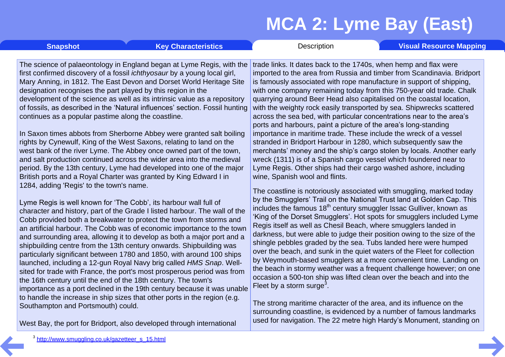**[Snapshot](#page-1-0) Key [Characteristics](#page-3-0) [Description](#page-4-0) Visual [Resource](#page-9-0) Mapping** 

The science of palaeontology in England began at Lyme Regis, with the first confirmed discovery of a fossil *ichthyosaur* by a young local girl, Mary Anning, in 1812. The East Devon and Dorset World Heritage Site designation recognises the part played by this region in the development of the science as well as its intrinsic value as a repository of fossils, as described in the 'Natural influences' section. Fossil hunting continues as a popular pastime along the coastline.

In Saxon times abbots from Sherborne Abbey were granted salt boiling rights by Cynewulf, King of the West Saxons, relating to land on the west bank of the river Lyme. The Abbey once owned part of the town, and salt production continued across the wider area into the medieval period. By the 13th century, Lyme had developed into one of the major British ports and a Royal Charter was granted by King Edward I in 1284, adding 'Regis' to the town's name.

Lyme Regis is well known for 'The Cobb', its harbour wall full of character and history, part of the Grade I listed harbour. The wall of the Cobb provided both a breakwater to protect the town from storms and an artificial harbour. The Cobb was of economic importance to the town and surrounding area, allowing it to develop as both a major port and a shipbuilding centre from the 13th century onwards. Shipbuilding was particularly significant between 1780 and 1850, with around 100 ships launched, including a 12-gun Royal Navy brig called *HMS Snap*. Well sited for trade with France, the port's most prosperous period was from the 16th century until the end of the 18th century. The town's importance as a port declined in the 19th century because it was unable to handle the increase in ship sizes that other ports in the region (e.g. Southampton and Portsmouth) could.

West Bay, the port for Bridport, also developed through international

trade links. It dates back to the 1740s, when hemp and flax were imported to the area from Russia and timber from Scandinavia. Bridport is famously associated with rope manufacture in support of shipping, with one company remaining today from this 750-year old trade. Chalk quarrying around Beer Head also capitalised on the coastal location, with the weighty rock easily transported by sea. Shipwrecks scattered across the sea bed, with particular concentrations near to the area's ports and harbours, paint a picture of the area's long-standing importance in maritime trade. These include the wreck of a vessel stranded in Bridport Harbour in 1280, which subsequently saw the merchants' money and the ship's cargo stolen by locals. Another early wreck (1311) is of a Spanish cargo vessel which foundered near to Lyme Regis. Other ships had their cargo washed ashore, including wine, Spanish wool and flints.

The coastline is notoriously associated with smuggling, marked today by the Smugglers' Trail on the National Trust land at Golden Cap. This includes the famous 18<sup>th</sup> century smuggler Issac Gulliver, known as 'King of the Dorset Smugglers'. Hot spots for smugglers included Lyme Regis itself as well as Chesil Beach, where smugglers landed in darkness, but were able to judge their position owing to the size of the shingle pebbles graded by the sea. Tubs landed here were humped over the beach, and sunk in the quiet waters of the Fleet for collection by Weymouth-based smugglers at a more convenient time. Landing on the beach in stormy weather was a frequent challenge however; on one occasion a 500-ton ship was lifted clean over the beach and into the Fleet by a storm surge<sup>3</sup>.

The strong maritime character of the area, and its influence on the surrounding coastline, is evidenced by a number of famous landmarks used for navigation. The 22 metre high Hardy's Monument, standing on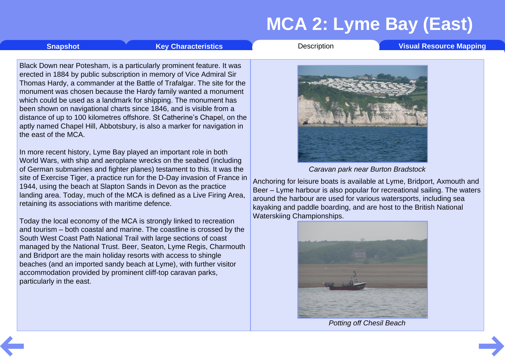**[Snapshot](#page-1-0) Key [Characteristics](#page-3-0) [Description](#page-4-0) Visual [Resource](#page-9-0) Mapping** 

Black Down near Potesham, is a particularly prominent feature. It was erected in 1884 by public subscription in memory of Vice Admiral Sir Thomas Hardy, a commander at the Battle of Trafalgar. The site for the monument was chosen because the Hardy family wanted a monument which could be used as a landmark for shipping. The monument has been shown on navigational charts since 1846, and is visible from a distance of up to 100 kilometres offshore. St Catherine's Chapel, on the aptly named Chapel Hill, Abbotsbury, is also a marker for navigation in the east of the MCA.

In more recent history, Lyme Bay played an important role in both World Wars, with ship and aeroplane wrecks on the seabed (including of German submarines and fighter planes) testament to this. It was the site of Exercise Tiger, a practice run for the D-Day invasion of France in 1944, using the beach at Slapton Sands in Devon as the practice landing area. Today, much of the MCA is defined as a Live Firing Area, retaining its associations with maritime defence.

Today the local economy of the MCA is strongly linked to recreation and tourism – both coastal and marine. The coastline is crossed by the South West Coast Path National Trail with large sections of coast managed by the National Trust. Beer, Seaton, Lyme Regis, Charmouth and Bridport are the main holiday resorts with access to shingle beaches (and an imported sandy beach at Lyme), with further visitor accommodation provided by prominent cliff-top caravan parks, particularly in the east.



*Caravan park near Burton Bradstock*

Anchoring for leisure boats is available at Lyme, Bridport, Axmouth and Beer – Lyme harbour is also popular for recreational sailing. The waters around the harbour are used for various watersports, including sea kayaking and paddle boarding, and are host to the British National Waterskiing Championships.



*Potting off Chesil Beach*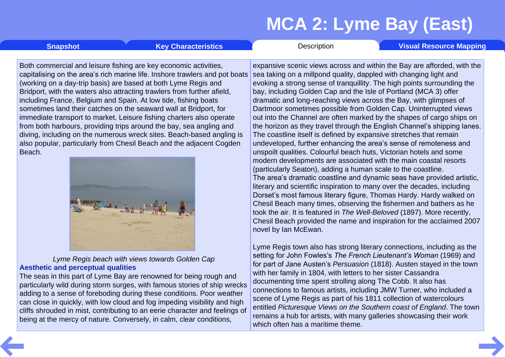<span id="page-8-0"></span>**[Snapshot](#page-1-0) Key [Characteristics](#page-3-0) [Description](#page-4-0) Visual [Resource](#page-9-0) Mapping** 

Both commercial and leisure fishing are key economic activities, capitalising on the area's rich marine life. Inshore trawlers and pot boats (working on a day-trip basis) are based at both Lyme Regis and Bridport, with the waters also attracting trawlers from further afield, including France, Belgium and Spain. At low tide, fishing boats sometimes land their catches on the seaward wall at Bridport, for immediate transport to market. Leisure fishing charters also operate from both harbours, providing trips around the bay, sea angling and diving, including on the numerous wreck sites. Beach-based angling is also popular, particularly from Chesil Beach and the adjacent Cogden Beach.



*Lyme Regis beach with views towards Golden Cap* **Aesthetic and perceptual qualities**

The seas in this part of Lyme Bay are renowned for being rough and particularly wild during storm surges, with famous stories of ship wrecks adding to a sense of foreboding during these conditions. Poor weather can close in quickly, with low cloud and fog impeding visibility and high cliffs shrouded in mist, contributing to an eerie character and feelings of being at the mercy of nature. Conversely, in calm, clear conditions,

expansive scenic views across and within the Bay are afforded, with the sea taking on a millpond quality, dappled with changing light and evoking a strong sense of tranquillity. The high points surrounding the bay, including Golden Cap and the Isle of Portland (MCA 3) offer dramatic and long-reaching views across the Bay, with glimpses of Dartmoor sometimes possible from Golden Cap. Uninterrupted views out into the Channel are often marked by the shapes of cargo ships on the horizon as they travel through the English Channel's shipping lanes. The coastline itself is defined by expansive stretches that remain undeveloped, further enhancing the area's sense of remoteness and unspoilt qualities. Colourful beach huts, Victorian hotels and some modern developments are associated with the main coastal resorts (particularly Seaton), adding a human scale to the coastline. The area's dramatic coastline and dynamic seas have provided artistic, literary and scientific inspiration to many over the decades, including Dorset's most famous literary figure, Thomas Hardy. Hardy walked on Chesil Beach many times, observing the fishermen and bathers as he took the air. It is featured in *The Well-Beloved* (1897). More recently, Chesil Beach provided the name and inspiration for the acclaimed 2007 novel by Ian McEwan.

Lyme Regis town also has strong literary connections, including as the setting for John Fowles's *The French Lieutenant's Woman* (1969) and for part of Jane Austen's *Persuasion* (1818). Austen stayed in the town with her family in 1804, with letters to her sister Cassandra documenting time spent strolling along The Cobb. It also has connections to famous artists, including JMW Turner, who included a scene of Lyme Regis as part of his 1811 collection of watercolours entitled *Picturesque Views on the Southern coast of England*. The town remains a hub for artists, with many galleries showcasing their work which often has a maritime theme.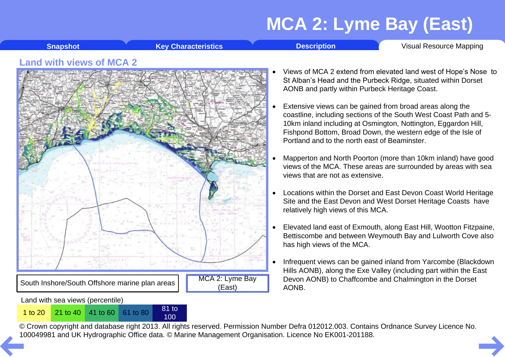**[Snapshot](#page-1-0) Key [Characteristics](#page-3-0) Construction [Description](#page-4-0)** Visual [Resource](#page-9-0) Mapping

#### <span id="page-9-0"></span>**Land with views of MCA 2**

Land with sea views (percentile)



100

- Views of MCA 2 extend from elevated land west of Hope's Nose to St Alban's Head and the Purbeck Ridge, situated within Dorset AONB and partly within Purbeck Heritage Coast.
- Extensive views can be gained from broad areas along the coastline, including sections of the South West Coast Path and 5- 10km inland including at Osmington, Nottington, Eggardon Hill, Fishpond Bottom, Broad Down, the western edge of the Isle of Portland and to the north east of Beaminster.
- Mapperton and North Poorton (more than 10km inland) have good views of the MCA. These areas are surrounded by areas with sea views that are not as extensive.
- Locations within the Dorset and East Devon Coast World Heritage Site and the East Devon and West Dorset Heritage Coasts have relatively high views of this MCA.
- Elevated land east of Exmouth, along East Hill, Wootton Fitzpaine, Bettiscombe and between Weymouth Bay and Lulworth Cove also has high views of the MCA.
- Infrequent views can be gained inland from Yarcombe (Blackdown Hills AONB), along the Exe Valley (including part within the East Devon AONB) to Chaffcombe and Chalmington in the Dorset AONB.

© Crown copyright and database right 2013. All rights reserved. Permission Number Defra 012012.003. Contains Ordnance Survey Licence No. 1 to 20<sup>21</sup> to 40<sup>41</sup> to 60<sup>61</sup> to 80<sup>81</sup> to 80<sup>81</sup> to 80<sup>81</sup> to [10](#page-8-0)0<br>© Crown copyright and database right 2013. All rights reserved. Permission Number Defra 012012.003. Contain<br>100049981 and UK Hydrographic Office data. ©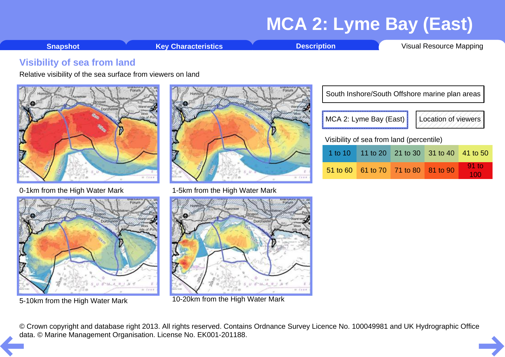**[Snapshot](#page-1-0) Key [Characteristics](#page-3-0) [Description](#page-4-0)** Visual [Resource](#page-9-0) Mapping

#### <span id="page-10-0"></span>**Visibility of sea from land**

Relative visibility of the sea surface from viewers on land



0-1km from the High Water Mark 1-5km from the High Water Mark







5-10km from the High Water Mark 10-20km from the High Water Mark

|                                          | South Inshore/South Offshore marine plan areas |                                     |  |                     |          |  |  |  |  |  |
|------------------------------------------|------------------------------------------------|-------------------------------------|--|---------------------|----------|--|--|--|--|--|
|                                          |                                                | MCA 2: Lyme Bay (East)              |  | Location of viewers |          |  |  |  |  |  |
| Visibility of sea from land (percentile) |                                                |                                     |  |                     |          |  |  |  |  |  |
|                                          |                                                | 1 to 10 11 to 20 21 to 30 31 to 40  |  |                     | 41 to 50 |  |  |  |  |  |
|                                          |                                                | 51 to 60 61 to 70 71 to 80 81 to 90 |  |                     | $91$ to  |  |  |  |  |  |

© Crown copyright and database right 2013. All rights reserved. Contains Ordnance Survey Licence No. 100049981 and UK Hydrographic Office [da](#page-9-0)ta. © Marine Management Organisation. License No. EK001-201188.